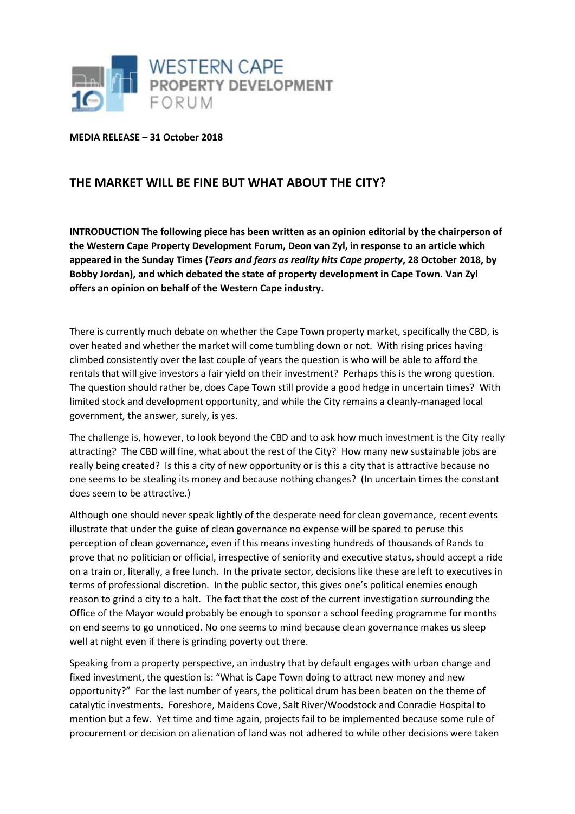

**MEDIA RELEASE – 31 October 2018**

## **THE MARKET WILL BE FINE BUT WHAT ABOUT THE CITY?**

**INTRODUCTION The following piece has been written as an opinion editorial by the chairperson of the Western Cape Property Development Forum, Deon van Zyl, in response to an article which appeared in the Sunday Times (***Tears and fears as reality hits Cape property***, 28 October 2018, by Bobby Jordan), and which debated the state of property development in Cape Town. Van Zyl offers an opinion on behalf of the Western Cape industry.**

There is currently much debate on whether the Cape Town property market, specifically the CBD, is over heated and whether the market will come tumbling down or not. With rising prices having climbed consistently over the last couple of years the question is who will be able to afford the rentals that will give investors a fair yield on their investment? Perhaps this is the wrong question. The question should rather be, does Cape Town still provide a good hedge in uncertain times? With limited stock and development opportunity, and while the City remains a cleanly-managed local government, the answer, surely, is yes.

The challenge is, however, to look beyond the CBD and to ask how much investment is the City really attracting? The CBD will fine, what about the rest of the City? How many new sustainable jobs are really being created? Is this a city of new opportunity or is this a city that is attractive because no one seems to be stealing its money and because nothing changes? (In uncertain times the constant does seem to be attractive.)

Although one should never speak lightly of the desperate need for clean governance, recent events illustrate that under the guise of clean governance no expense will be spared to peruse this perception of clean governance, even if this means investing hundreds of thousands of Rands to prove that no politician or official, irrespective of seniority and executive status, should accept a ride on a train or, literally, a free lunch. In the private sector, decisions like these are left to executives in terms of professional discretion. In the public sector, this gives one's political enemies enough reason to grind a city to a halt. The fact that the cost of the current investigation surrounding the Office of the Mayor would probably be enough to sponsor a school feeding programme for months on end seems to go unnoticed. No one seems to mind because clean governance makes us sleep well at night even if there is grinding poverty out there.

Speaking from a property perspective, an industry that by default engages with urban change and fixed investment, the question is: "What is Cape Town doing to attract new money and new opportunity?" For the last number of years, the political drum has been beaten on the theme of catalytic investments. Foreshore, Maidens Cove, Salt River/Woodstock and Conradie Hospital to mention but a few. Yet time and time again, projects fail to be implemented because some rule of procurement or decision on alienation of land was not adhered to while other decisions were taken